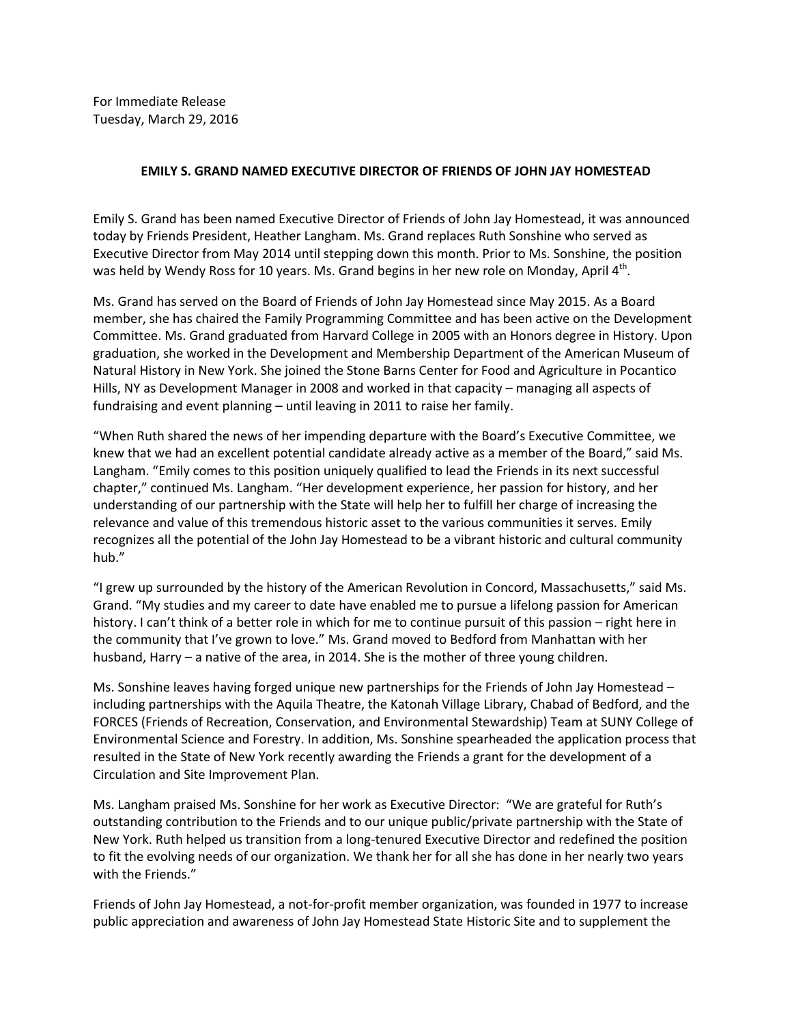For Immediate Release Tuesday, March 29, 2016

## **EMILY S. GRAND NAMED EXECUTIVE DIRECTOR OF FRIENDS OF JOHN JAY HOMESTEAD**

Emily S. Grand has been named Executive Director of Friends of John Jay Homestead, it was announced today by Friends President, Heather Langham. Ms. Grand replaces Ruth Sonshine who served as Executive Director from May 2014 until stepping down this month. Prior to Ms. Sonshine, the position was held by Wendy Ross for 10 years. Ms. Grand begins in her new role on Monday, April 4<sup>th</sup>.

Ms. Grand has served on the Board of Friends of John Jay Homestead since May 2015. As a Board member, she has chaired the Family Programming Committee and has been active on the Development Committee. Ms. Grand graduated from Harvard College in 2005 with an Honors degree in History. Upon graduation, she worked in the Development and Membership Department of the American Museum of Natural History in New York. She joined the Stone Barns Center for Food and Agriculture in Pocantico Hills, NY as Development Manager in 2008 and worked in that capacity – managing all aspects of fundraising and event planning – until leaving in 2011 to raise her family.

"When Ruth shared the news of her impending departure with the Board's Executive Committee, we knew that we had an excellent potential candidate already active as a member of the Board," said Ms. Langham. "Emily comes to this position uniquely qualified to lead the Friends in its next successful chapter," continued Ms. Langham. "Her development experience, her passion for history, and her understanding of our partnership with the State will help her to fulfill her charge of increasing the relevance and value of this tremendous historic asset to the various communities it serves. Emily recognizes all the potential of the John Jay Homestead to be a vibrant historic and cultural community hub."

"I grew up surrounded by the history of the American Revolution in Concord, Massachusetts," said Ms. Grand. "My studies and my career to date have enabled me to pursue a lifelong passion for American history. I can't think of a better role in which for me to continue pursuit of this passion – right here in the community that I've grown to love." Ms. Grand moved to Bedford from Manhattan with her husband, Harry – a native of the area, in 2014. She is the mother of three young children.

Ms. Sonshine leaves having forged unique new partnerships for the Friends of John Jay Homestead – including partnerships with the Aquila Theatre, the Katonah Village Library, Chabad of Bedford, and the FORCES (Friends of Recreation, Conservation, and Environmental Stewardship) Team at SUNY College of Environmental Science and Forestry. In addition, Ms. Sonshine spearheaded the application process that resulted in the State of New York recently awarding the Friends a grant for the development of a Circulation and Site Improvement Plan.

Ms. Langham praised Ms. Sonshine for her work as Executive Director: "We are grateful for Ruth's outstanding contribution to the Friends and to our unique public/private partnership with the State of New York. Ruth helped us transition from a long-tenured Executive Director and redefined the position to fit the evolving needs of our organization. We thank her for all she has done in her nearly two years with the Friends."

Friends of John Jay Homestead, a not-for-profit member organization, was founded in 1977 to increase public appreciation and awareness of John Jay Homestead State Historic Site and to supplement the